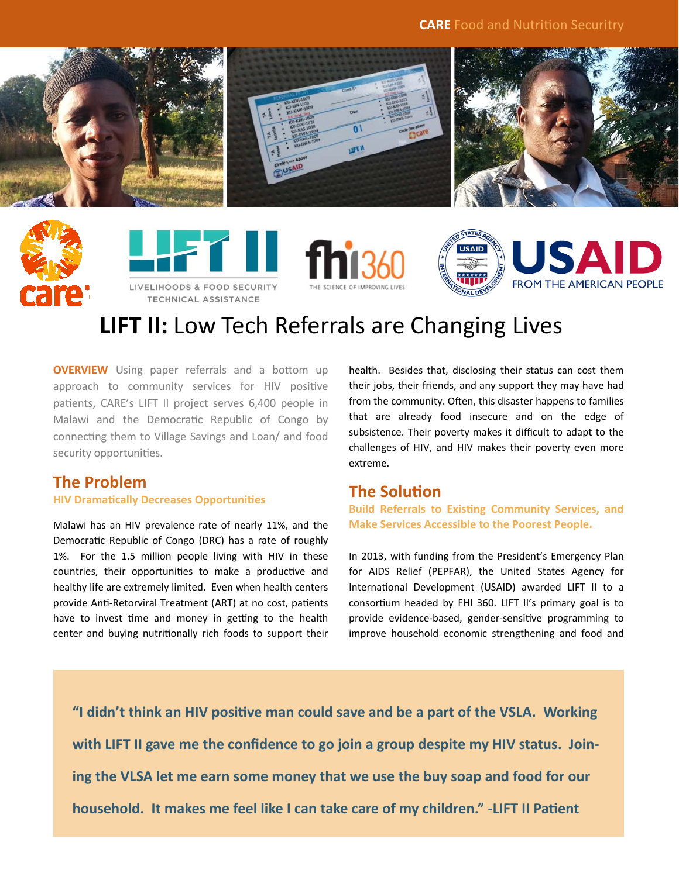









# **LIFT II:** Low Tech Referrals are Changing Lives

**OVERVIEW** Using paper referrals and a bottom up approach to community services for HIV positive patients, CARE's LIFT II project serves 6,400 people in Malawi and the Democratic Republic of Congo by connecting them to Village Savings and Loan/ and food security opportunities.

## **The Problem**

#### **HIV DramaƟcally Decreases OpportuniƟes**

Malawi has an HIV prevalence rate of nearly 11%, and the Democratic Republic of Congo (DRC) has a rate of roughly 1%. For the 1.5 million people living with HIV in these countries, their opportunities to make a productive and healthy life are extremely limited. Even when health centers provide Anti-Retorviral Treatment (ART) at no cost, patients have to invest time and money in getting to the health center and buying nutritionally rich foods to support their

health. Besides that, disclosing their status can cost them their jobs, their friends, and any support they may have had from the community. Often, this disaster happens to families that are already food insecure and on the edge of subsistence. Their poverty makes it difficult to adapt to the challenges of HIV, and HIV makes their poverty even more extreme.

## **The Solution**

**Build Referrals to Existing Community Services, and Make Services Accessible to the Poorest People.** 

In 2013, with funding from the President's Emergency Plan for AIDS Relief (PEPFAR), the United States Agency for International Development (USAID) awarded LIFT II to a consortium headed by FHI 360. LIFT II's primary goal is to provide evidence-based, gender-sensitive programming to improve household economic strengthening and food and

"I didn't think an HIV positive man could save and be a part of the VSLA. Working **with LIFT II gave me the confidence to go join a group despite my HIV status. Joining the VLSA let me earn some money that we use the buy soap and food for our household. It makes me feel like I can take care of my children." -LIFT II Patient**